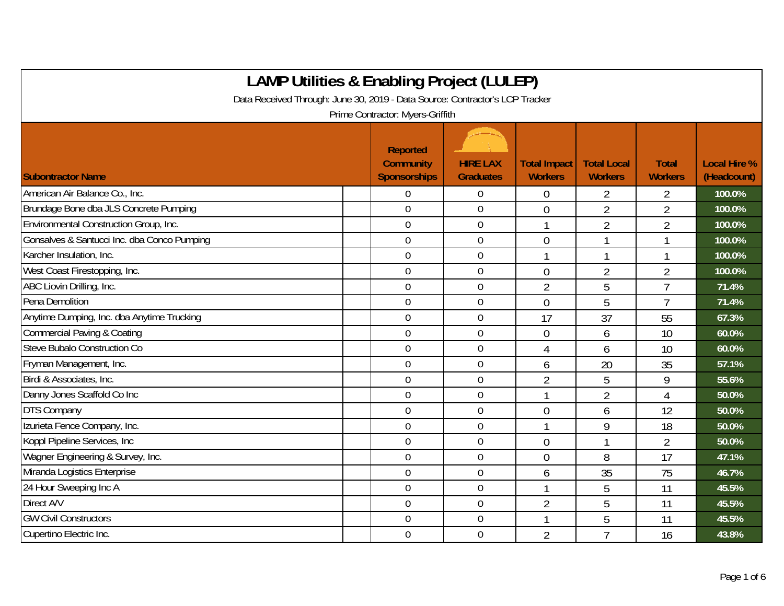| <b>LAMP Utilities &amp; Enabling Project (LULEP)</b>                         |                                                            |                                     |                                       |                                      |                                |                                    |  |  |
|------------------------------------------------------------------------------|------------------------------------------------------------|-------------------------------------|---------------------------------------|--------------------------------------|--------------------------------|------------------------------------|--|--|
| Data Received Through: June 30, 2019 - Data Source: Contractor's LCP Tracker |                                                            |                                     |                                       |                                      |                                |                                    |  |  |
|                                                                              | Prime Contractor: Myers-Griffith                           |                                     |                                       |                                      |                                |                                    |  |  |
| <b>Subontractor Name</b>                                                     | <b>Reported</b><br><b>Community</b><br><b>Sponsorships</b> | <b>HIRE LAX</b><br><b>Graduates</b> | <b>Total Impact</b><br><b>Workers</b> | <b>Total Local</b><br><b>Workers</b> | <b>Total</b><br><b>Workers</b> | <b>Local Hire %</b><br>(Headcount) |  |  |
| American Air Balance Co., Inc.                                               | $\overline{0}$                                             | $\mathbf 0$                         | $\overline{0}$                        | 2                                    | 2                              | 100.0%                             |  |  |
| Brundage Bone dba JLS Concrete Pumping                                       | $\overline{0}$                                             | $\overline{0}$                      | $\overline{0}$                        | $\overline{2}$                       | $\overline{2}$                 | 100.0%                             |  |  |
| Environmental Construction Group, Inc.                                       | $\overline{0}$                                             | $\overline{0}$                      | 1                                     | $\overline{2}$                       | $\overline{2}$                 | 100.0%                             |  |  |
| Gonsalves & Santucci Inc. dba Conco Pumping                                  | $\mathbf 0$                                                | $\mathbf 0$                         | $\overline{0}$                        |                                      | 1                              | 100.0%                             |  |  |
| Karcher Insulation, Inc.                                                     | $\mathbf 0$                                                | $\mathbf 0$                         | $\mathbf{1}$                          | $\overline{1}$                       | $\mathbf{1}$                   | 100.0%                             |  |  |
| West Coast Firestopping, Inc.                                                | $\mathbf 0$                                                | $\boldsymbol{0}$                    | $\overline{0}$                        | $\overline{2}$                       | $\overline{2}$                 | 100.0%                             |  |  |
| ABC Liovin Drilling, Inc.                                                    | $\mathbf 0$                                                | $\overline{0}$                      | $\overline{2}$                        | 5                                    | $\overline{7}$                 | 71.4%                              |  |  |
| Pena Demolition                                                              | $\mathbf 0$                                                | $\mathbf 0$                         | $\overline{0}$                        | 5                                    | $\overline{1}$                 | 71.4%                              |  |  |
| Anytime Dumping, Inc. dba Anytime Trucking                                   | $\Omega$                                                   | $\overline{0}$                      | 17                                    | 37                                   | 55                             | 67.3%                              |  |  |
| <b>Commercial Paving &amp; Coating</b>                                       | $\overline{0}$                                             | $\overline{0}$                      | $\overline{0}$                        | 6                                    | 10                             | 60.0%                              |  |  |
| Steve Bubalo Construction Co                                                 | $\mathbf 0$                                                | $\mathbf 0$                         | 4                                     | 6                                    | 10                             | 60.0%                              |  |  |
| Fryman Management, Inc.                                                      | $\mathbf 0$                                                | $\overline{0}$                      | 6                                     | 20                                   | 35                             | 57.1%                              |  |  |
| Birdi & Associates, Inc.                                                     | $\overline{0}$                                             | $\overline{0}$                      | $\overline{2}$                        | 5                                    | 9                              | 55.6%                              |  |  |
| Danny Jones Scaffold Co Inc                                                  | $\overline{0}$                                             | $\mathbf 0$                         | 1                                     | $\overline{2}$                       | 4                              | 50.0%                              |  |  |
| <b>DTS Company</b>                                                           | $\mathbf 0$                                                | $\mathbf 0$                         | $\overline{0}$                        | 6                                    | 12                             | 50.0%                              |  |  |
| Izurieta Fence Company, Inc.                                                 | $\mathbf 0$                                                | $\mathbf 0$                         |                                       | 9                                    | 18                             | 50.0%                              |  |  |
| Koppl Pipeline Services, Inc.                                                | $\overline{0}$                                             | $\mathbf 0$                         | $\overline{0}$                        | 1                                    | $\overline{2}$                 | 50.0%                              |  |  |
| Wagner Engineering & Survey, Inc.                                            | $\mathbf 0$                                                | $\mathbf 0$                         | $\overline{0}$                        | 8                                    | 17                             | 47.1%                              |  |  |
| Miranda Logistics Enterprise                                                 | $\mathbf 0$                                                | $\mathbf 0$                         | 6                                     | 35                                   | 75                             | 46.7%                              |  |  |
| 24 Hour Sweeping Inc A                                                       | $\overline{0}$                                             | $\boldsymbol{0}$                    |                                       | 5                                    | 11                             | 45.5%                              |  |  |
| Direct A/V                                                                   | $\overline{0}$                                             | $\mathbf 0$                         | $\overline{2}$                        | 5                                    | 11                             | 45.5%                              |  |  |
| <b>GW Civil Constructors</b>                                                 | $\overline{0}$                                             | $\overline{0}$                      |                                       | 5                                    | 11                             | 45.5%                              |  |  |
| Cupertino Electric Inc.                                                      | $\overline{0}$                                             | $\mathbf 0$                         | $\overline{2}$                        | $\overline{7}$                       | 16                             | 43.8%                              |  |  |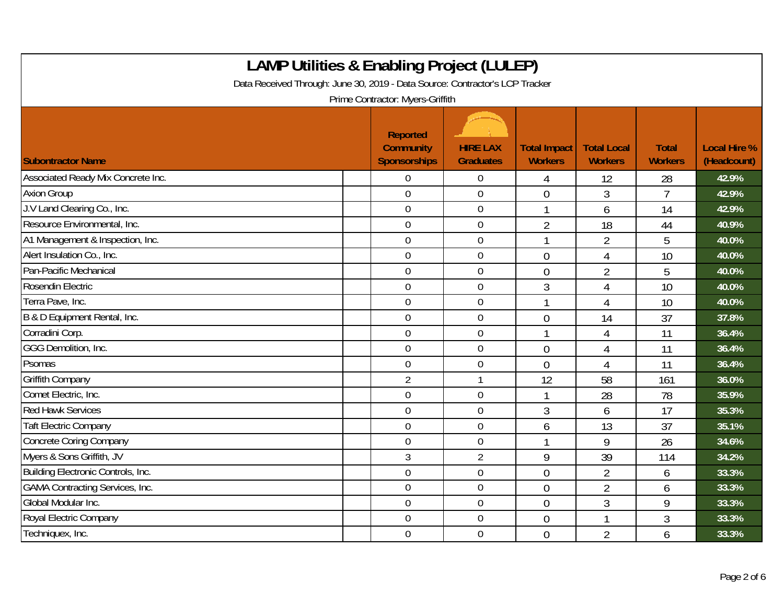| <b>LAMP Utilities &amp; Enabling Project (LULEP)</b><br>Data Received Through: June 30, 2019 - Data Source: Contractor's LCP Tracker<br>Prime Contractor: Myers-Griffith |                                                     |                                     |                                       |                                      |                                |                                    |  |  |
|--------------------------------------------------------------------------------------------------------------------------------------------------------------------------|-----------------------------------------------------|-------------------------------------|---------------------------------------|--------------------------------------|--------------------------------|------------------------------------|--|--|
| <b>Subontractor Name</b>                                                                                                                                                 | Reported<br><b>Community</b><br><b>Sponsorships</b> | <b>HIRE LAX</b><br><b>Graduates</b> | <b>Total Impact</b><br><b>Workers</b> | <b>Total Local</b><br><b>Workers</b> | <b>Total</b><br><b>Workers</b> | <b>Local Hire %</b><br>(Headcount) |  |  |
| Associated Ready Mix Concrete Inc.                                                                                                                                       | $\overline{0}$                                      | $\boldsymbol{0}$                    | 4                                     | 12                                   | 28                             | 42.9%                              |  |  |
| <b>Axion Group</b>                                                                                                                                                       | $\overline{0}$                                      | $\mathbf 0$                         | $\overline{0}$                        | 3                                    | $\overline{1}$                 | 42.9%                              |  |  |
| J.V Land Clearing Co., Inc.                                                                                                                                              | $\mathbf 0$                                         | $\boldsymbol{0}$                    |                                       | 6                                    | 14                             | 42.9%                              |  |  |
| Resource Environmental, Inc.                                                                                                                                             | $\boldsymbol{0}$                                    | $\boldsymbol{0}$                    | $\overline{2}$                        | 18                                   | 44                             | 40.9%                              |  |  |
| A1 Management & Inspection, Inc.                                                                                                                                         | $\overline{0}$                                      | $\overline{0}$                      |                                       | $\overline{2}$                       | 5                              | 40.0%                              |  |  |
| Alert Insulation Co., Inc.                                                                                                                                               | $\mathbf 0$                                         | $\boldsymbol{0}$                    | $\overline{0}$                        | 4                                    | 10                             | 40.0%                              |  |  |
| Pan-Pacific Mechanical                                                                                                                                                   | $\mathbf 0$                                         | $\mathbf 0$                         | $\overline{0}$                        | $\overline{2}$                       | 5                              | 40.0%                              |  |  |
| Rosendin Electric                                                                                                                                                        | $\overline{0}$                                      | $\mathbf 0$                         | 3                                     | 4                                    | 10                             | 40.0%                              |  |  |
| Terra Pave, Inc.                                                                                                                                                         | $\boldsymbol{0}$                                    | $\boldsymbol{0}$                    |                                       | 4                                    | 10                             | 40.0%                              |  |  |
| B & D Equipment Rental, Inc.                                                                                                                                             | $\mathbf 0$                                         | $\boldsymbol{0}$                    | $\mathbf 0$                           | 14                                   | 37                             | 37.8%                              |  |  |
| Corradini Corp.                                                                                                                                                          | $\mathbf 0$                                         | $\mathbf 0$                         |                                       | 4                                    | 11                             | 36.4%                              |  |  |
| GGG Demolition, Inc.                                                                                                                                                     | $\overline{0}$                                      | $\mathbf 0$                         | $\overline{0}$                        | 4                                    | 11                             | 36.4%                              |  |  |
| Psomas                                                                                                                                                                   | $\overline{0}$                                      | $\mathbf 0$                         | $\overline{0}$                        | 4                                    | 11                             | 36.4%                              |  |  |
| <b>Griffith Company</b>                                                                                                                                                  | $\overline{2}$                                      | $\mathbf{1}$                        | 12                                    | 58                                   | 161                            | 36.0%                              |  |  |
| Comet Electric, Inc.                                                                                                                                                     | $\overline{0}$                                      | $\boldsymbol{0}$                    |                                       | 28                                   | 78                             | 35.9%                              |  |  |
| <b>Red Hawk Services</b>                                                                                                                                                 | $\overline{0}$                                      | $\mathbf 0$                         | 3                                     | 6                                    | 17                             | 35.3%                              |  |  |
| <b>Taft Electric Company</b>                                                                                                                                             | $\overline{0}$                                      | $\mathbf 0$                         | 6                                     | 13                                   | 37                             | 35.1%                              |  |  |
| Concrete Coring Company                                                                                                                                                  | $\mathbf 0$                                         | $\boldsymbol{0}$                    |                                       | 9                                    | 26                             | 34.6%                              |  |  |
| Myers & Sons Griffith, JV                                                                                                                                                | 3                                                   | $\overline{2}$                      | 9                                     | 39                                   | 114                            | 34.2%                              |  |  |
| Building Electronic Controls, Inc.                                                                                                                                       | $\overline{0}$                                      | $\boldsymbol{0}$                    | $\overline{0}$                        | $\overline{2}$                       | 6                              | 33.3%                              |  |  |
| <b>GAMA Contracting Services, Inc.</b>                                                                                                                                   | $\mathbf 0$                                         | $\boldsymbol{0}$                    | $\overline{0}$                        | $\overline{2}$                       | 6                              | 33.3%                              |  |  |
| Global Modular Inc.                                                                                                                                                      | $\overline{0}$                                      | $\mathbf 0$                         | $\overline{0}$                        | 3                                    | 9                              | 33.3%                              |  |  |
| Royal Electric Company                                                                                                                                                   | $\overline{0}$                                      | $\boldsymbol{0}$                    | $\theta$                              | 1                                    | 3                              | 33.3%                              |  |  |
| Techniquex, Inc.                                                                                                                                                         | $\mathbf 0$                                         | $\boldsymbol{0}$                    | $\overline{0}$                        | $\overline{2}$                       | 6                              | 33.3%                              |  |  |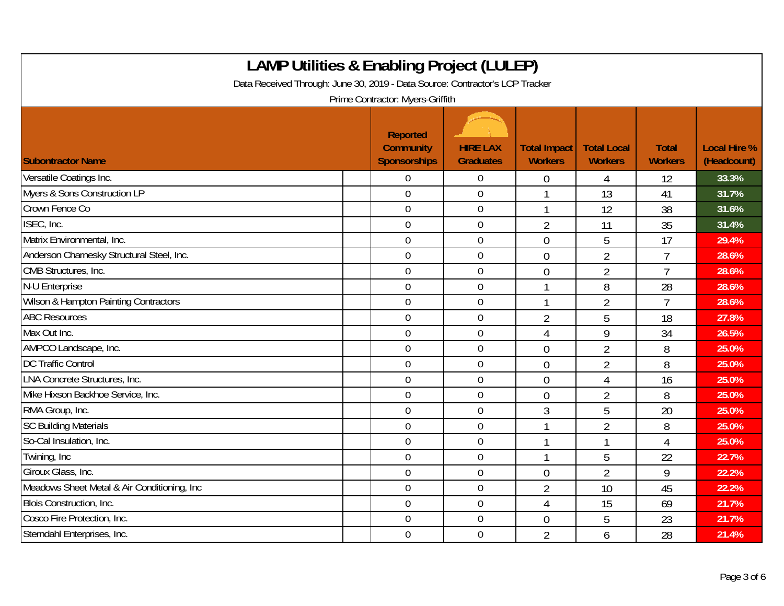| <b>LAMP Utilities &amp; Enabling Project (LULEP)</b><br>Data Received Through: June 30, 2019 - Data Source: Contractor's LCP Tracker<br>Prime Contractor: Myers-Griffith |                                                     |                                     |                                       |                                      |                                |                                    |  |  |
|--------------------------------------------------------------------------------------------------------------------------------------------------------------------------|-----------------------------------------------------|-------------------------------------|---------------------------------------|--------------------------------------|--------------------------------|------------------------------------|--|--|
| <b>Subontractor Name</b>                                                                                                                                                 | Reported<br><b>Community</b><br><b>Sponsorships</b> | <b>HIRE LAX</b><br><b>Graduates</b> | <b>Total Impact</b><br><b>Workers</b> | <b>Total Local</b><br><b>Workers</b> | <b>Total</b><br><b>Workers</b> | <b>Local Hire %</b><br>(Headcount) |  |  |
| Versatile Coatings Inc.                                                                                                                                                  | $\Omega$                                            | $\boldsymbol{0}$                    | 0                                     | 4                                    | 12                             | 33.3%                              |  |  |
| Myers & Sons Construction LP                                                                                                                                             | $\overline{0}$                                      | $\overline{0}$                      |                                       | 13                                   | 41                             | 31.7%                              |  |  |
| Crown Fence Co                                                                                                                                                           | $\overline{0}$                                      | $\boldsymbol{0}$                    |                                       | 12                                   | 38                             | 31.6%                              |  |  |
| ISEC, Inc.                                                                                                                                                               | $\mathbf 0$                                         | $\mathbf 0$                         | $\overline{2}$                        | 11                                   | 35                             | 31.4%                              |  |  |
| Matrix Environmental, Inc.                                                                                                                                               | $\overline{0}$                                      | $\overline{0}$                      | $\overline{0}$                        | 5                                    | 17                             | 29.4%                              |  |  |
| Anderson Charnesky Structural Steel, Inc.                                                                                                                                | $\overline{0}$                                      | $\boldsymbol{0}$                    | $\overline{0}$                        | $\overline{2}$                       | $\overline{7}$                 | 28.6%                              |  |  |
| CMB Structures, Inc.                                                                                                                                                     | $\overline{0}$                                      | $\mathbf 0$                         | $\overline{0}$                        | $\overline{2}$                       | $\overline{7}$                 | 28.6%                              |  |  |
| N-U Enterprise                                                                                                                                                           | $\overline{0}$                                      | $\mathbf 0$                         |                                       | 8                                    | 28                             | 28.6%                              |  |  |
| Wilson & Hampton Painting Contractors                                                                                                                                    | $\overline{0}$                                      | $\boldsymbol{0}$                    |                                       | $\overline{2}$                       | $\overline{7}$                 | 28.6%                              |  |  |
| <b>ABC Resources</b>                                                                                                                                                     | $\mathbf 0$                                         | $\mathbf 0$                         | $\overline{2}$                        | 5                                    | 18                             | 27.8%                              |  |  |
| Max Out Inc.                                                                                                                                                             | $\overline{0}$                                      | $\mathbf 0$                         | $\overline{4}$                        | 9                                    | 34                             | 26.5%                              |  |  |
| AMPCO Landscape, Inc.                                                                                                                                                    | $\overline{0}$                                      | $\mathbf 0$                         | $\overline{0}$                        | $\overline{2}$                       | 8                              | 25.0%                              |  |  |
| <b>DC Traffic Control</b>                                                                                                                                                | $\overline{0}$                                      | $\mathbf 0$                         | $\mathbf 0$                           | $\overline{2}$                       | 8                              | 25.0%                              |  |  |
| <b>LNA Concrete Structures, Inc.</b>                                                                                                                                     | $\mathbf 0$                                         | 0                                   | $\mathbf 0$                           | 4                                    | 16                             | 25.0%                              |  |  |
| Mike Hixson Backhoe Service, Inc.                                                                                                                                        | $\mathbf 0$                                         | $\boldsymbol{0}$                    | $\overline{0}$                        | $\overline{2}$                       | 8                              | 25.0%                              |  |  |
| RMA Group, Inc.                                                                                                                                                          | $\overline{0}$                                      | $\boldsymbol{0}$                    | 3                                     | 5                                    | 20                             | 25.0%                              |  |  |
| <b>SC Building Materials</b>                                                                                                                                             | $\mathbf 0$                                         | 0                                   |                                       | $\overline{2}$                       | 8                              | 25.0%                              |  |  |
| So-Cal Insulation, Inc.                                                                                                                                                  | $\mathbf 0$                                         | $\mathbf 0$                         |                                       | 1                                    | $\overline{4}$                 | 25.0%                              |  |  |
| Twining, Inc                                                                                                                                                             | $\overline{0}$                                      | $\boldsymbol{0}$                    |                                       | 5                                    | 22                             | 22.7%                              |  |  |
| Giroux Glass, Inc.                                                                                                                                                       | $\mathbf 0$                                         | 0                                   | $\overline{0}$                        | $\overline{2}$                       | 9                              | 22.2%                              |  |  |
| Meadows Sheet Metal & Air Conditioning, Inc                                                                                                                              | $\mathbf 0$                                         | $\boldsymbol{0}$                    | $\overline{2}$                        | 10                                   | 45                             | 22.2%                              |  |  |
| Blois Construction, Inc.                                                                                                                                                 | $\mathbf 0$                                         | $\boldsymbol{0}$                    | $\overline{4}$                        | 15                                   | 69                             | 21.7%                              |  |  |
| Cosco Fire Protection, Inc.                                                                                                                                              | 0                                                   | $\boldsymbol{0}$                    | $\overline{0}$                        | 5                                    | 23                             | 21.7%                              |  |  |
| Sterndahl Enterprises, Inc.                                                                                                                                              | $\overline{0}$                                      | $\mathbf 0$                         | $\overline{2}$                        | 6                                    | 28                             | 21.4%                              |  |  |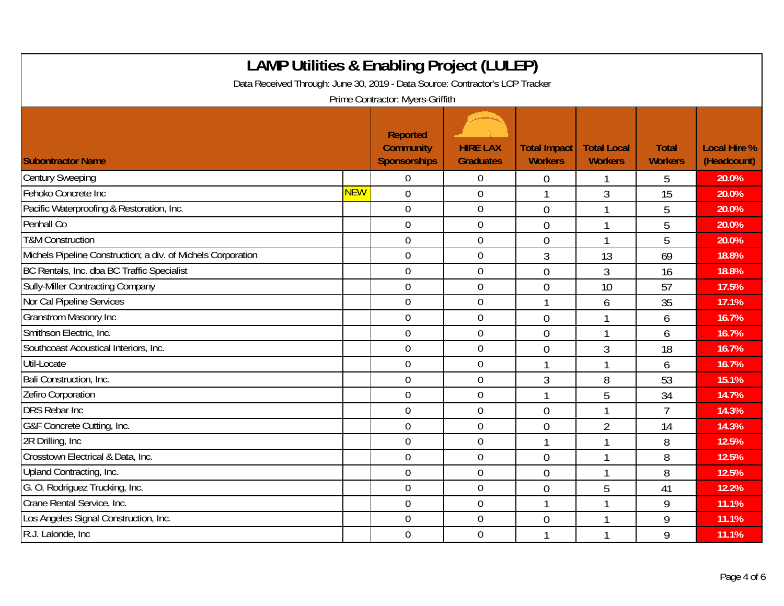| <b>LAMP Utilities &amp; Enabling Project (LULEP)</b><br>Data Received Through: June 30, 2019 - Data Source: Contractor's LCP Tracker<br>Prime Contractor: Myers-Griffith |            |                                                     |                                     |                                       |                                      |                                |                                    |  |
|--------------------------------------------------------------------------------------------------------------------------------------------------------------------------|------------|-----------------------------------------------------|-------------------------------------|---------------------------------------|--------------------------------------|--------------------------------|------------------------------------|--|
| <b>Subontractor Name</b>                                                                                                                                                 |            | Reported<br><b>Community</b><br><b>Sponsorships</b> | <b>HIRE LAX</b><br><b>Graduates</b> | <b>Total Impact</b><br><b>Workers</b> | <b>Total Local</b><br><b>Workers</b> | <b>Total</b><br><b>Workers</b> | <b>Local Hire %</b><br>(Headcount) |  |
| <b>Century Sweeping</b>                                                                                                                                                  |            | $\Omega$                                            | $\mathbf 0$                         | $\theta$                              |                                      | 5                              | 20.0%                              |  |
| Fehoko Concrete Inc                                                                                                                                                      | <b>NEW</b> | $\overline{0}$                                      | $\mathbf 0$                         | $\mathbf 1$                           | 3                                    | 15                             | 20.0%                              |  |
| Pacific Waterproofing & Restoration, Inc.                                                                                                                                |            | $\mathbf 0$                                         | $\boldsymbol{0}$                    | $\overline{0}$                        | $\mathbf{1}$                         | 5                              | 20.0%                              |  |
| Penhall Co                                                                                                                                                               |            | $\overline{0}$                                      | $\mathbf 0$                         | $\theta$                              |                                      | 5                              | 20.0%                              |  |
| <b>T&amp;M Construction</b>                                                                                                                                              |            | $\mathbf 0$                                         | $\mathbf 0$                         | $\overline{0}$                        |                                      | 5                              | 20.0%                              |  |
| Michels Pipeline Construction; a div. of Michels Corporation                                                                                                             |            | $\mathbf 0$                                         | $\mathbf 0$                         | $\mathfrak{Z}$                        | 13                                   | 69                             | 18.8%                              |  |
| BC Rentals, Inc. dba BC Traffic Specialist                                                                                                                               |            | $\overline{0}$                                      | $\overline{0}$                      | $\Omega$                              | 3                                    | 16                             | 18.8%                              |  |
| Sully-Miller Contracting Company                                                                                                                                         |            | $\overline{0}$                                      | $\mathbf 0$                         | $\overline{0}$                        | 10                                   | 57                             | 17.5%                              |  |
| Nor Cal Pipeline Services                                                                                                                                                |            | $\mathbf 0$                                         | $\boldsymbol{0}$                    | $\mathbf{1}$                          | 6                                    | 35                             | 17.1%                              |  |
| <b>Granstrom Masonry Inc</b>                                                                                                                                             |            | $\mathbf 0$                                         | $\boldsymbol{0}$                    | $\overline{0}$                        |                                      | 6                              | 16.7%                              |  |
| Smithson Electric, Inc.                                                                                                                                                  |            | $\overline{0}$                                      | $\overline{0}$                      | $\theta$                              |                                      | 6                              | 16.7%                              |  |
| Southcoast Acoustical Interiors, Inc.                                                                                                                                    |            | $\mathbf 0$                                         | $\boldsymbol{0}$                    | $\overline{0}$                        | 3                                    | 18                             | 16.7%                              |  |
| Util-Locate                                                                                                                                                              |            | $\overline{0}$                                      | $\overline{0}$                      | $\mathbf 1$                           |                                      | 6                              | 16.7%                              |  |
| Bali Construction, Inc.                                                                                                                                                  |            | $\mathbf 0$                                         | $\mathbf 0$                         | 3                                     | 8                                    | 53                             | 15.1%                              |  |
| Zefiro Corporation                                                                                                                                                       |            | $\mathbf 0$                                         | $\boldsymbol{0}$                    | $\mathbf{1}$                          | 5                                    | 34                             | 14.7%                              |  |
| <b>DRS</b> Rebar Inc                                                                                                                                                     |            | $\overline{0}$                                      | $\boldsymbol{0}$                    | $\overline{0}$                        |                                      | $\overline{7}$                 | 14.3%                              |  |
| G&F Concrete Cutting, Inc.                                                                                                                                               |            | $\overline{0}$                                      | $\mathbf 0$                         | $\overline{0}$                        | $\overline{2}$                       | 14                             | 14.3%                              |  |
| 2R Drilling, Inc.                                                                                                                                                        |            | $\mathbf 0$                                         | $\mathbf 0$                         | $\mathbf{1}$                          | 1                                    | 8                              | 12.5%                              |  |
| Crosstown Electrical & Data, Inc.                                                                                                                                        |            | $\overline{0}$                                      | $\mathbf 0$                         | $\theta$                              |                                      | 8                              | 12.5%                              |  |
| Upland Contracting, Inc.                                                                                                                                                 |            | $\overline{0}$                                      | $\mathbf 0$                         | $\overline{0}$                        |                                      | 8                              | 12.5%                              |  |
| G. O. Rodriguez Trucking, Inc.                                                                                                                                           |            | $\mathbf 0$                                         | $\boldsymbol{0}$                    | $\overline{0}$                        | 5                                    | 41                             | 12.2%                              |  |
| Crane Rental Service, Inc.                                                                                                                                               |            | $\overline{0}$                                      | $\mathbf 0$                         | $\mathbf 1$                           | 1                                    | 9                              | 11.1%                              |  |
| Los Angeles Signal Construction, Inc.                                                                                                                                    |            | $\mathbf 0$                                         | $\mathbf 0$                         | $\overline{0}$                        |                                      | 9                              | 11.1%                              |  |
| R.J. Lalonde, Inc                                                                                                                                                        |            | $\mathbf 0$                                         | $\mathbf 0$                         | 1                                     |                                      | 9                              | 11.1%                              |  |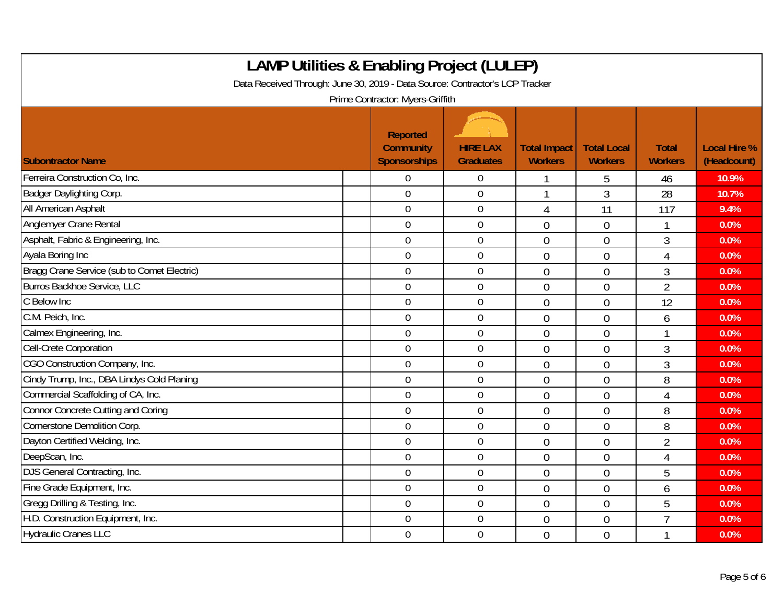| <b>LAMP Utilities &amp; Enabling Project (LULEP)</b><br>Data Received Through: June 30, 2019 - Data Source: Contractor's LCP Tracker<br>Prime Contractor: Myers-Griffith |                                                     |                                     |                                       |                                      |                                |                                    |  |  |
|--------------------------------------------------------------------------------------------------------------------------------------------------------------------------|-----------------------------------------------------|-------------------------------------|---------------------------------------|--------------------------------------|--------------------------------|------------------------------------|--|--|
| <b>Subontractor Name</b>                                                                                                                                                 | Reported<br><b>Community</b><br><b>Sponsorships</b> | <b>HIRE LAX</b><br><b>Graduates</b> | <b>Total Impact</b><br><b>Workers</b> | <b>Total Local</b><br><b>Workers</b> | <b>Total</b><br><b>Workers</b> | <b>Local Hire %</b><br>(Headcount) |  |  |
| Ferreira Construction Co, Inc.                                                                                                                                           | $\Omega$                                            | $\boldsymbol{0}$                    |                                       | 5                                    | 46                             | 10.9%                              |  |  |
| Badger Daylighting Corp.                                                                                                                                                 | $\overline{0}$                                      | $\overline{0}$                      |                                       | 3                                    | 28                             | 10.7%                              |  |  |
| All American Asphalt                                                                                                                                                     | $\boldsymbol{0}$                                    | $\boldsymbol{0}$                    | 4                                     | 11                                   | 117                            | 9.4%                               |  |  |
| Anglemyer Crane Rental                                                                                                                                                   | $\mathbf 0$                                         | $\mathbf 0$                         | $\overline{0}$                        | $\overline{0}$                       | 1                              | 0.0%                               |  |  |
| Asphalt, Fabric & Engineering, Inc.                                                                                                                                      | $\overline{0}$                                      | $\overline{0}$                      | $\overline{0}$                        | $\overline{0}$                       | 3                              | 0.0%                               |  |  |
| Ayala Boring Inc                                                                                                                                                         | $\overline{0}$                                      | $\boldsymbol{0}$                    | $\overline{0}$                        | $\overline{0}$                       | $\overline{4}$                 | 0.0%                               |  |  |
| Bragg Crane Service (sub to Comet Electric)                                                                                                                              | $\overline{0}$                                      | $\mathbf 0$                         | $\theta$                              | $\overline{0}$                       | 3                              | 0.0%                               |  |  |
| Burros Backhoe Service, LLC                                                                                                                                              | $\overline{0}$                                      | $\boldsymbol{0}$                    | $\overline{0}$                        | $\overline{0}$                       | $\overline{2}$                 | 0.0%                               |  |  |
| C Below Inc                                                                                                                                                              | $\overline{0}$                                      | $\boldsymbol{0}$                    | $\overline{0}$                        | $\overline{0}$                       | 12                             | 0.0%                               |  |  |
| C.M. Peich, Inc.                                                                                                                                                         | $\mathbf 0$                                         | $\overline{0}$                      | $\theta$                              | $\overline{0}$                       | 6                              | 0.0%                               |  |  |
| Calmex Engineering, Inc.                                                                                                                                                 | $\overline{0}$                                      | $\mathbf 0$                         | $\overline{0}$                        | $\overline{0}$                       | 1                              | 0.0%                               |  |  |
| Cell-Crete Corporation                                                                                                                                                   | $\mathbf 0$                                         | $\mathbf 0$                         | $\theta$                              | $\overline{0}$                       | 3                              | 0.0%                               |  |  |
| CGO Construction Company, Inc.                                                                                                                                           | $\overline{0}$                                      | $\mathbf 0$                         | $\overline{0}$                        | $\mathbf 0$                          | 3                              | 0.0%                               |  |  |
| Cindy Trump, Inc., DBA Lindys Cold Planing                                                                                                                               | $\overline{0}$                                      | $\mathbf 0$                         | $\overline{0}$                        | $\overline{0}$                       | 8                              | 0.0%                               |  |  |
| Commercial Scaffolding of CA, Inc.                                                                                                                                       | $\mathbf 0$                                         | $\boldsymbol{0}$                    | $\overline{0}$                        | $\overline{0}$                       | 4                              | 0.0%                               |  |  |
| Connor Concrete Cutting and Coring                                                                                                                                       | $\overline{0}$                                      | $\boldsymbol{0}$                    | $\mathbf 0$                           | $\overline{0}$                       | 8                              | 0.0%                               |  |  |
| Cornerstone Demolition Corp.                                                                                                                                             | $\overline{0}$                                      | $\mathbf 0$                         | $\overline{0}$                        | $\overline{0}$                       | 8                              | 0.0%                               |  |  |
| Dayton Certified Welding, Inc.                                                                                                                                           | $\mathbf 0$                                         | $\mathbf 0$                         | $\theta$                              | $\overline{0}$                       | $\overline{2}$                 | 0.0%                               |  |  |
| DeepScan, Inc.                                                                                                                                                           | $\overline{0}$                                      | $\overline{0}$                      | $\mathbf 0$                           | $\overline{0}$                       | $\overline{4}$                 | 0.0%                               |  |  |
| DJS General Contracting, Inc.                                                                                                                                            | $\mathbf 0$                                         | $\mathbf 0$                         | $\overline{0}$                        | $\overline{0}$                       | 5                              | 0.0%                               |  |  |
| Fine Grade Equipment, Inc.                                                                                                                                               | $\mathbf 0$                                         | $\boldsymbol{0}$                    | $\overline{0}$                        | $\overline{0}$                       | 6                              | 0.0%                               |  |  |
| Gregg Drilling & Testing, Inc.                                                                                                                                           | $\mathbf 0$                                         | $\overline{0}$                      | $\mathbf 0$                           | $\overline{0}$                       | 5                              | 0.0%                               |  |  |
| H.D. Construction Equipment, Inc.                                                                                                                                        | 0                                                   | 0                                   | $\overline{0}$                        | $\overline{0}$                       | $\overline{7}$                 | 0.0%                               |  |  |
| <b>Hydraulic Cranes LLC</b>                                                                                                                                              | $\overline{0}$                                      | $\mathbf 0$                         | $\theta$                              | $\overline{0}$                       | 1                              | 0.0%                               |  |  |